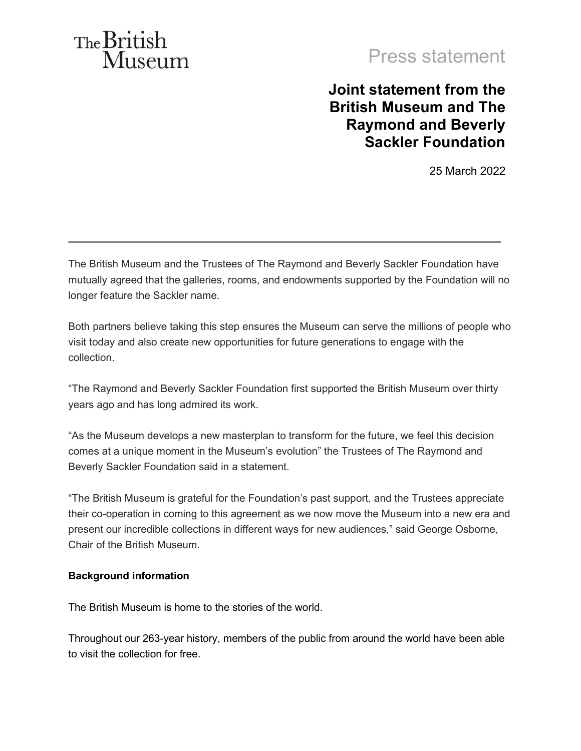# The British Museum

## Press statement

### **Joint statement from the British Museum and The Raymond and Beverly Sackler Foundation**

25 March 2022

 The British Museum and the Trustees of The Raymond and Beverly Sackler Foundation have mutually agreed that the galleries, rooms, and endowments supported by the Foundation will no longer feature the Sackler name.

 Both partners believe taking this step ensures the Museum can serve the millions of people who visit today and also create new opportunities for future generations to engage with the collection.

 "The Raymond and Beverly Sackler Foundation first supported the British Museum over thirty years ago and has long admired its work.

 "As the Museum develops a new masterplan to transform for the future, we feel this decision comes at a unique moment in the Museum's evolution" the Trustees of The Raymond and Beverly Sackler Foundation said in a statement.

 "The British Museum is grateful for the Foundation's past support, and the Trustees appreciate their co-operation in coming to this agreement as we now move the Museum into a new era and present our incredible collections in different ways for new audiences," said George Osborne, Chair of the British Museum.

#### **Background information**

The British Museum is home to the stories of the world.

 Throughout our 263-year history, members of the public from around the world have been able to visit the collection for free.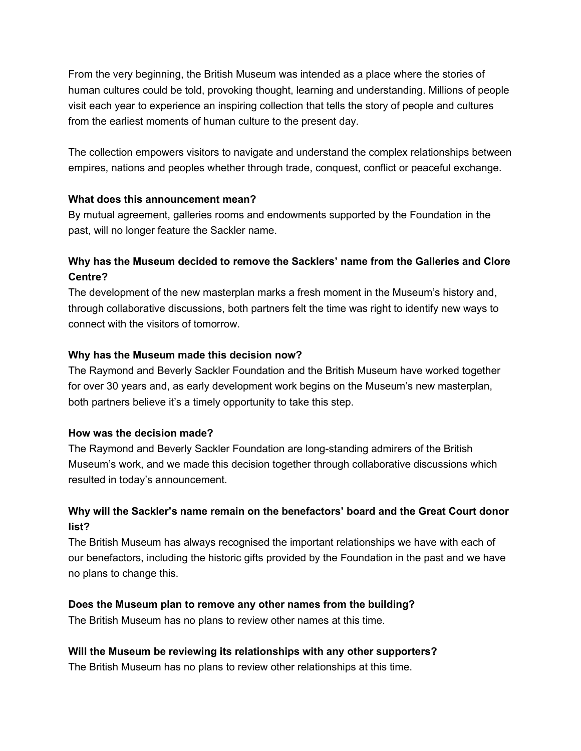From the very beginning, the British Museum was intended as a place where the stories of human cultures could be told, provoking thought, learning and understanding. Millions of people visit each year to experience an inspiring collection that tells the story of people and cultures from the earliest moments of human culture to the present day.

 The collection empowers visitors to navigate and understand the complex relationships between empires, nations and peoples whether through trade, conquest, conflict or peaceful exchange.

#### **What does this announcement mean?**

 By mutual agreement, galleries rooms and endowments supported by the Foundation in the past, will no longer feature the Sackler name.

#### **Why has the Museum decided to remove the Sacklers' name from the Galleries and Clore Centre?**

 The development of the new masterplan marks a fresh moment in the Museum's history and, through collaborative discussions, both partners felt the time was right to identify new ways to connect with the visitors of tomorrow.

#### **Why has the Museum made this decision now?**

 The Raymond and Beverly Sackler Foundation and the British Museum have worked together for over 30 years and, as early development work begins on the Museum's new masterplan, both partners believe it's a timely opportunity to take this step.

#### **How was the decision made?**

 The Raymond and Beverly Sackler Foundation are long-standing admirers of the British Museum's work, and we made this decision together through collaborative discussions which resulted in today's announcement.

#### **Why will the Sackler's name remain on the benefactors' board and the Great Court donor list?**

 The British Museum has always recognised the important relationships we have with each of our benefactors, including the historic gifts provided by the Foundation in the past and we have no plans to change this.

#### **Does the Museum plan to remove any other names from the building?**

The British Museum has no plans to review other names at this time.

#### **Will the Museum be reviewing its relationships with any other supporters?**

The British Museum has no plans to review other relationships at this time.